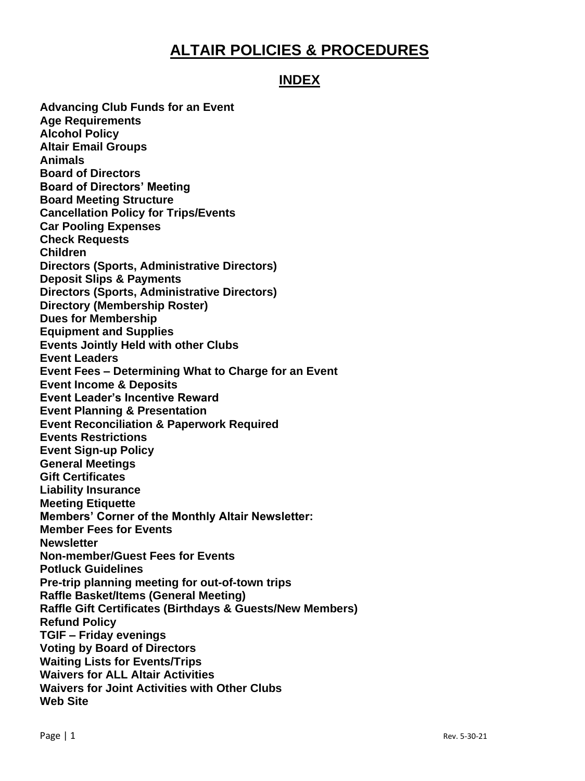# **ALTAIR POLICIES & PROCEDURES**

# **INDEX**

**Advancing Club Funds for an Event Age Requirements Alcohol Policy Altair Email Groups Animals Board of Directors Board of Directors' Meeting Board Meeting Structure Cancellation Policy for Trips/Events Car Pooling Expenses Check Requests Children Directors (Sports, Administrative Directors) Deposit Slips & Payments Directors (Sports, Administrative Directors) Directory (Membership Roster) Dues for Membership Equipment and Supplies Events Jointly Held with other Clubs Event Leaders Event Fees – Determining What to Charge for an Event Event Income & Deposits Event Leader's Incentive Reward Event Planning & Presentation Event Reconciliation & Paperwork Required Events Restrictions Event Sign-up Policy General Meetings Gift Certificates Liability Insurance Meeting Etiquette Members' Corner of the Monthly Altair Newsletter: Member Fees for Events Newsletter Non-member/Guest Fees for Events Potluck Guidelines Pre-trip planning meeting for out-of-town trips Raffle Basket/Items (General Meeting) Raffle Gift Certificates (Birthdays & Guests/New Members) Refund Policy TGIF – Friday evenings Voting by Board of Directors Waiting Lists for Events/Trips Waivers for ALL Altair Activities Waivers for Joint Activities with Other Clubs Web Site**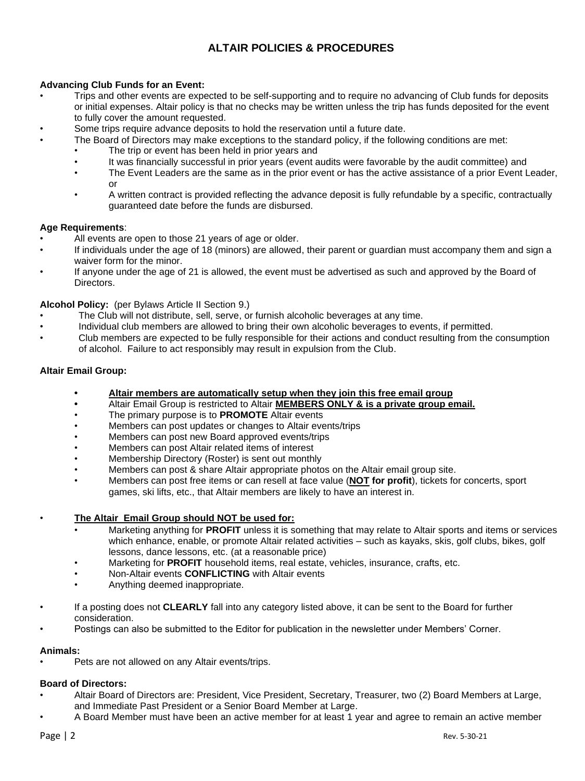# **ALTAIR POLICIES & PROCEDURES**

# **Advancing Club Funds for an Event:**

- Trips and other events are expected to be self-supporting and to require no advancing of Club funds for deposits or initial expenses. Altair policy is that no checks may be written unless the trip has funds deposited for the event to fully cover the amount requested.
- Some trips require advance deposits to hold the reservation until a future date.
- The Board of Directors may make exceptions to the standard policy, if the following conditions are met:
	- The trip or event has been held in prior years and
		- It was financially successful in prior years (event audits were favorable by the audit committee) and
	- The Event Leaders are the same as in the prior event or has the active assistance of a prior Event Leader, or
	- A written contract is provided reflecting the advance deposit is fully refundable by a specific, contractually guaranteed date before the funds are disbursed.

#### **Age Requirements**:

- All events are open to those 21 years of age or older.
- If individuals under the age of 18 (minors) are allowed, their parent or guardian must accompany them and sign a waiver form for the minor.
- If anyone under the age of 21 is allowed, the event must be advertised as such and approved by the Board of Directors.

## **Alcohol Policy:** (per Bylaws Article II Section 9.)

- The Club will not distribute, sell, serve, or furnish alcoholic beverages at any time.
- Individual club members are allowed to bring their own alcoholic beverages to events, if permitted.
- Club members are expected to be fully responsible for their actions and conduct resulting from the consumption of alcohol. Failure to act responsibly may result in expulsion from the Club.

## **Altair Email Group:**

- **• Altair members are automatically setup when they join this free email group**
- **•** Altair Email Group is restricted to Altair **MEMBERS ONLY & is a private group email.**
- The primary purpose is to **PROMOTE** Altair events
- Members can post updates or changes to Altair events/trips
- Members can post new Board approved events/trips
- Members can post Altair related items of interest
- Membership Directory (Roster) is sent out monthly
- Members can post & share Altair appropriate photos on the Altair email group site.
- Members can post free items or can resell at face value (**NOT for profit**), tickets for concerts, sport games, ski lifts, etc., that Altair members are likely to have an interest in.

## • **The Altair Email Group should NOT be used for:**

- Marketing anything for **PROFIT** unless it is something that may relate to Altair sports and items or services which enhance, enable, or promote Altair related activities – such as kayaks, skis, golf clubs, bikes, golf lessons, dance lessons, etc. (at a reasonable price)
- Marketing for **PROFIT** household items, real estate, vehicles, insurance, crafts, etc.
- Non-Altair events **CONFLICTING** with Altair events
- Anything deemed inappropriate.
- If a posting does not **CLEARLY** fall into any category listed above, it can be sent to the Board for further consideration.
- Postings can also be submitted to the Editor for publication in the newsletter under Members' Corner.

## **Animals:**

Pets are not allowed on any Altair events/trips.

## **Board of Directors:**

- Altair Board of Directors are: President, Vice President, Secretary, Treasurer, two (2) Board Members at Large, and Immediate Past President or a Senior Board Member at Large.
- A Board Member must have been an active member for at least 1 year and agree to remain an active member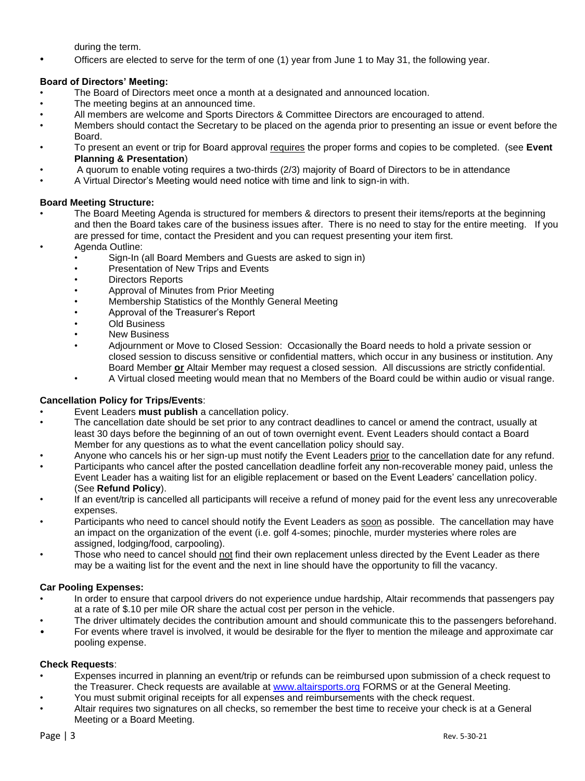during the term.

• Officers are elected to serve for the term of one (1) year from June 1 to May 31, the following year.

# **Board of Directors' Meeting:**

- The Board of Directors meet once a month at a designated and announced location.
- The meeting begins at an announced time.
- All members are welcome and Sports Directors & Committee Directors are encouraged to attend.
- Members should contact the Secretary to be placed on the agenda prior to presenting an issue or event before the Board.
- To present an event or trip for Board approval requires the proper forms and copies to be completed. (see **Event Planning & Presentation**)
- A quorum to enable voting requires a two-thirds (2/3) majority of Board of Directors to be in attendance
- A Virtual Director's Meeting would need notice with time and link to sign-in with.

# **Board Meeting Structure:**

- The Board Meeting Agenda is structured for members & directors to present their items/reports at the beginning and then the Board takes care of the business issues after. There is no need to stay for the entire meeting. If you are pressed for time, contact the President and you can request presenting your item first.
- Agenda Outline:
	- Sign-In (all Board Members and Guests are asked to sign in)
		- Presentation of New Trips and Events
		- Directors Reports
		- Approval of Minutes from Prior Meeting
	- Membership Statistics of the Monthly General Meeting
	- Approval of the Treasurer's Report
	- Old Business
	- **New Business**
	- Adjournment or Move to Closed Session: Occasionally the Board needs to hold a private session or closed session to discuss sensitive or confidential matters, which occur in any business or institution. Any Board Member **or** Altair Member may request a closed session. All discussions are strictly confidential.
	- A Virtual closed meeting would mean that no Members of the Board could be within audio or visual range.

# **Cancellation Policy for Trips/Events**:

- Event Leaders **must publish** a cancellation policy.
- The cancellation date should be set prior to any contract deadlines to cancel or amend the contract, usually at least 30 days before the beginning of an out of town overnight event. Event Leaders should contact a Board Member for any questions as to what the event cancellation policy should say.
- Anyone who cancels his or her sign-up must notify the Event Leaders prior to the cancellation date for any refund.
- Participants who cancel after the posted cancellation deadline forfeit any non-recoverable money paid, unless the Event Leader has a waiting list for an eligible replacement or based on the Event Leaders' cancellation policy. (See **Refund Policy**).
- If an event/trip is cancelled all participants will receive a refund of money paid for the event less any unrecoverable expenses.
- Participants who need to cancel should notify the Event Leaders as soon as possible. The cancellation may have an impact on the organization of the event (i.e. golf 4-somes; pinochle, murder mysteries where roles are assigned, lodging/food, carpooling).
- Those who need to cancel should not find their own replacement unless directed by the Event Leader as there may be a waiting list for the event and the next in line should have the opportunity to fill the vacancy.

## **Car Pooling Expenses:**

- In order to ensure that carpool drivers do not experience undue hardship, Altair recommends that passengers pay at a rate of \$.10 per mile OR share the actual cost per person in the vehicle.
- The driver ultimately decides the contribution amount and should communicate this to the passengers beforehand.
- For events where travel is involved, it would be desirable for the flyer to mention the mileage and approximate car pooling expense.

## **Check Requests**:

- Expenses incurred in planning an event/trip or refunds can be reimbursed upon submission of a check request to the Treasurer. Check requests are available at [www.altairsports.org](http://www.altairsports.org/) FORMS or at the General Meeting.
- You must submit original receipts for all expenses and reimbursements with the check request.
- Altair requires two signatures on all checks, so remember the best time to receive your check is at a General Meeting or a Board Meeting.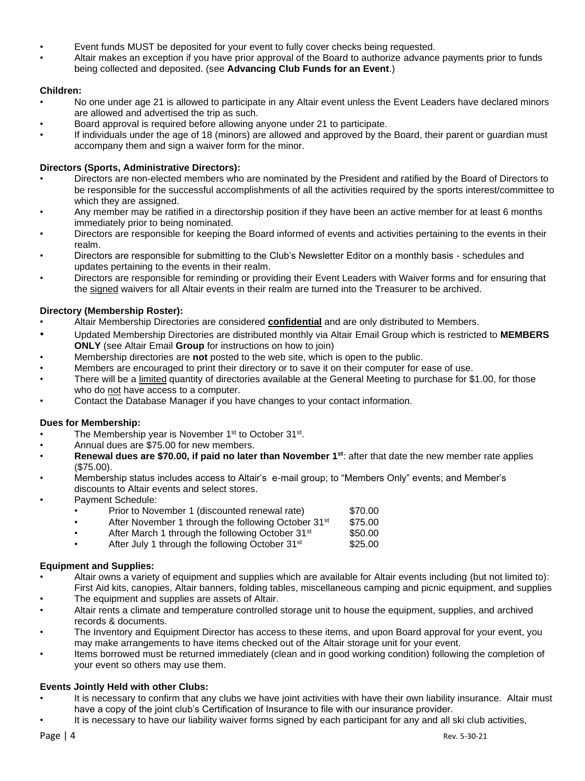- Event funds MUST be deposited for your event to fully cover checks being requested.
- Altair makes an exception if you have prior approval of the Board to authorize advance payments prior to funds being collected and deposited. (see **Advancing Club Funds for an Event**.)

# **Children:**

- No one under age 21 is allowed to participate in any Altair event unless the Event Leaders have declared minors are allowed and advertised the trip as such.
- Board approval is required before allowing anyone under 21 to participate.
- If individuals under the age of 18 (minors) are allowed and approved by the Board, their parent or guardian must accompany them and sign a waiver form for the minor.

# **Directors (Sports, Administrative Directors):**

- Directors are non-elected members who are nominated by the President and ratified by the Board of Directors to be responsible for the successful accomplishments of all the activities required by the sports interest/committee to which they are assigned.
- Any member may be ratified in a directorship position if they have been an active member for at least 6 months immediately prior to being nominated.
- Directors are responsible for keeping the Board informed of events and activities pertaining to the events in their realm.
- Directors are responsible for submitting to the Club's Newsletter Editor on a monthly basis schedules and updates pertaining to the events in their realm.
- Directors are responsible for reminding or providing their Event Leaders with Waiver forms and for ensuring that the signed waivers for all Altair events in their realm are turned into the Treasurer to be archived.

# **Directory (Membership Roster):**

- Altair Membership Directories are considered **confidential** and are only distributed to Members.
- Updated Membership Directories are distributed monthly via Altair Email Group which is restricted to **MEMBERS ONLY** (see Altair Email **Group** for instructions on how to join)
- Membership directories are **not** posted to the web site, which is open to the public.
- Members are encouraged to print their directory or to save it on their computer for ease of use.
- There will be a limited quantity of directories available at the General Meeting to purchase for \$1.00, for those who do not have access to a computer.
- Contact the Database Manager if you have changes to your contact information.

# **Dues for Membership:**

- The Membership year is November 1<sup>st</sup> to October 31<sup>st</sup>.
- Annual dues are \$75.00 for new members.
- **Renewal dues are \$70.00, if paid no later than November 1st**: after that date the new member rate applies (\$75.00).
- Membership status includes access to Altair's e-mail group; to "Members Only" events; and Member's discounts to Altair events and select stores.
- Payment Schedule:

|  |  | Prior to November 1 (discounted renewal rate) | \$70.00 |
|--|--|-----------------------------------------------|---------|
|--|--|-----------------------------------------------|---------|

- After November 1 through the following October 31<sup>st</sup> \$75.00
- After March 1 through the following October 31<sup>st</sup> \$50.00

After July 1 through the following October 31<sup>st</sup> \$25.00

# **Equipment and Supplies:**

- Altair owns a variety of equipment and supplies which are available for Altair events including (but not limited to): First Aid kits, canopies, Altair banners, folding tables, miscellaneous camping and picnic equipment, and supplies
- The equipment and supplies are assets of Altair.
- Altair rents a climate and temperature controlled storage unit to house the equipment, supplies, and archived records & documents.
- The Inventory and Equipment Director has access to these items, and upon Board approval for your event, you may make arrangements to have items checked out of the Altair storage unit for your event.
- Items borrowed must be returned immediately (clean and in good working condition) following the completion of your event so others may use them.

# **Events Jointly Held with other Clubs:**

- It is necessary to confirm that any clubs we have joint activities with have their own liability insurance. Altair must have a copy of the joint club's Certification of Insurance to file with our insurance provider.
- It is necessary to have our liability waiver forms signed by each participant for any and all ski club activities,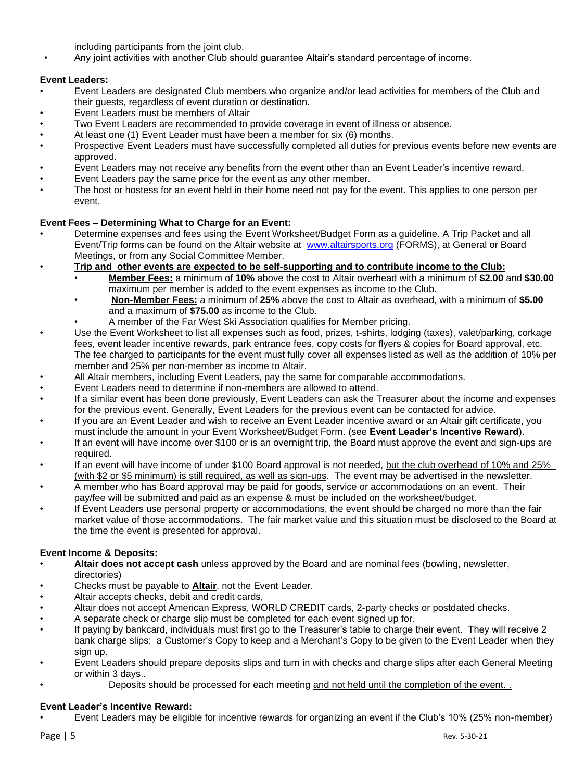including participants from the joint club.

• Any joint activities with another Club should guarantee Altair's standard percentage of income.

# **Event Leaders:**

- Event Leaders are designated Club members who organize and/or lead activities for members of the Club and their guests, regardless of event duration or destination.
- Event Leaders must be members of Altair
- Two Event Leaders are recommended to provide coverage in event of illness or absence.
- At least one (1) Event Leader must have been a member for six (6) months.
- Prospective Event Leaders must have successfully completed all duties for previous events before new events are approved.
- Event Leaders may not receive any benefits from the event other than an Event Leader's incentive reward.
- Event Leaders pay the same price for the event as any other member.
- The host or hostess for an event held in their home need not pay for the event. This applies to one person per event.

# **Event Fees – Determining What to Charge for an Event:**

- Determine expenses and fees using the Event Worksheet/Budget Form as a guideline. A Trip Packet and all Event/Trip forms can be found on the Altair website at [www.altairsports.org](http://www.altairsports.org/) (FORMS), at General or Board Meetings, or from any Social Committee Member.
- **Trip and other events are expected to be self-supporting and to contribute income to the Club:**
	- **Member Fees:** a minimum of **10%** above the cost to Altair overhead with a minimum of **\$2.00** and **\$30.00** maximum per member is added to the event expenses as income to the Club.
		- **Non-Member Fees:** a minimum of **25%** above the cost to Altair as overhead, with a minimum of **\$5.00** and a maximum of **\$75.00** as income to the Club.
	- A member of the Far West Ski Association qualifies for Member pricing.
- Use the Event Worksheet to list all expenses such as food, prizes, t-shirts, lodging (taxes), valet/parking, corkage fees, event leader incentive rewards, park entrance fees, copy costs for flyers & copies for Board approval, etc. The fee charged to participants for the event must fully cover all expenses listed as well as the addition of 10% per member and 25% per non-member as income to Altair.
- All Altair members, including Event Leaders, pay the same for comparable accommodations.
- Event Leaders need to determine if non-members are allowed to attend.
- If a similar event has been done previously, Event Leaders can ask the Treasurer about the income and expenses for the previous event. Generally, Event Leaders for the previous event can be contacted for advice.
- If you are an Event Leader and wish to receive an Event Leader incentive award or an Altair gift certificate, you must include the amount in your Event Worksheet/Budget Form. (see **Event Leader's Incentive Reward**).
- If an event will have income over \$100 or is an overnight trip, the Board must approve the event and sign-ups are required.
- If an event will have income of under \$100 Board approval is not needed, but the club overhead of 10% and 25% (with \$2 or \$5 minimum) is still required, as well as sign-ups. The event may be advertised in the newsletter.
- A member who has Board approval may be paid for goods, service or accommodations on an event. Their pay/fee will be submitted and paid as an expense & must be included on the worksheet/budget.
- If Event Leaders use personal property or accommodations, the event should be charged no more than the fair market value of those accommodations. The fair market value and this situation must be disclosed to the Board at the time the event is presented for approval.

# **Event Income & Deposits:**

- **Altair does not accept cash** unless approved by the Board and are nominal fees (bowling, newsletter, directories)
- Checks must be payable to **Altair**, not the Event Leader.
- Altair accepts checks, debit and credit cards,
- Altair does not accept American Express, WORLD CREDIT cards, 2-party checks or postdated checks.
- A separate check or charge slip must be completed for each event signed up for.
- If paying by bankcard, individuals must first go to the Treasurer's table to charge their event. They will receive 2 bank charge slips: a Customer's Copy to keep and a Merchant's Copy to be given to the Event Leader when they sign up.
- Event Leaders should prepare deposits slips and turn in with checks and charge slips after each General Meeting or within 3 days..
- Deposits should be processed for each meeting and not held until the completion of the event. .

# **Event Leader's Incentive Reward:**

• Event Leaders may be eligible for incentive rewards for organizing an event if the Club's 10% (25% non-member)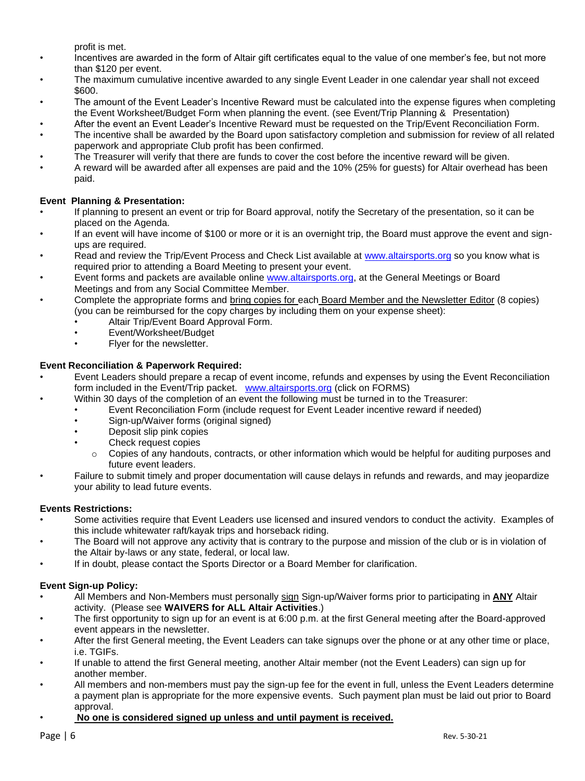profit is met.

- Incentives are awarded in the form of Altair gift certificates equal to the value of one member's fee, but not more than \$120 per event.
- The maximum cumulative incentive awarded to any single Event Leader in one calendar year shall not exceed \$600.
- The amount of the Event Leader's Incentive Reward must be calculated into the expense figures when completing the Event Worksheet/Budget Form when planning the event. (see Event/Trip Planning & Presentation)
- After the event an Event Leader's Incentive Reward must be requested on the Trip/Event Reconciliation Form.
- The incentive shall be awarded by the Board upon satisfactory completion and submission for review of all related paperwork and appropriate Club profit has been confirmed.
- The Treasurer will verify that there are funds to cover the cost before the incentive reward will be given.
- A reward will be awarded after all expenses are paid and the 10% (25% for guests) for Altair overhead has been paid.

# **Event Planning & Presentation:**

- If planning to present an event or trip for Board approval, notify the Secretary of the presentation, so it can be placed on the Agenda.
- If an event will have income of \$100 or more or it is an overnight trip, the Board must approve the event and signups are required.
- Read and review the Trip/Event Process and Check List available at [www.altairsports.org](http://www.altairsports.org/) so you know what is required prior to attending a Board Meeting to present your event.
- Event forms and packets are available online [www.altairsports.org,](http://www.altairsports.org/) at the General Meetings or Board Meetings and from any Social Committee Member.
- Complete the appropriate forms and bring copies for each Board Member and the Newsletter Editor (8 copies) (you can be reimbursed for the copy charges by including them on your expense sheet):
	- Altair Trip/Event Board Approval Form.
	- Event/Worksheet/Budget
	- Flyer for the newsletter.

# **Event Reconciliation & Paperwork Required:**

- Event Leaders should prepare a recap of event income, refunds and expenses by using the Event Reconciliation form included in the Event/Trip packet. [www.altairsports.org](http://www.altairsports.org/) (click on FORMS)
	- Within 30 days of the completion of an event the following must be turned in to the Treasurer:
		- Event Reconciliation Form (include request for Event Leader incentive reward if needed)
		- Sign-up/Waiver forms (original signed)
		- Deposit slip pink copies
		- Check request copies
			- $\circ$  Copies of any handouts, contracts, or other information which would be helpful for auditing purposes and future event leaders.
- Failure to submit timely and proper documentation will cause delays in refunds and rewards, and may jeopardize your ability to lead future events.

## **Events Restrictions:**

- Some activities require that Event Leaders use licensed and insured vendors to conduct the activity. Examples of this include whitewater raft/kayak trips and horseback riding.
- The Board will not approve any activity that is contrary to the purpose and mission of the club or is in violation of the Altair by-laws or any state, federal, or local law.
- If in doubt, please contact the Sports Director or a Board Member for clarification.

## **Event Sign-up Policy:**

- All Members and Non-Members must personally sign Sign-up/Waiver forms prior to participating in **ANY** Altair activity. (Please see **WAIVERS for ALL Altair Activities**.)
- The first opportunity to sign up for an event is at 6:00 p.m. at the first General meeting after the Board-approved event appears in the newsletter.
- After the first General meeting, the Event Leaders can take signups over the phone or at any other time or place, i.e. TGIFs.
- If unable to attend the first General meeting, another Altair member (not the Event Leaders) can sign up for another member.
- All members and non-members must pay the sign-up fee for the event in full, unless the Event Leaders determine a payment plan is appropriate for the more expensive events. Such payment plan must be laid out prior to Board approval.
- **No one is considered signed up unless and until payment is received.**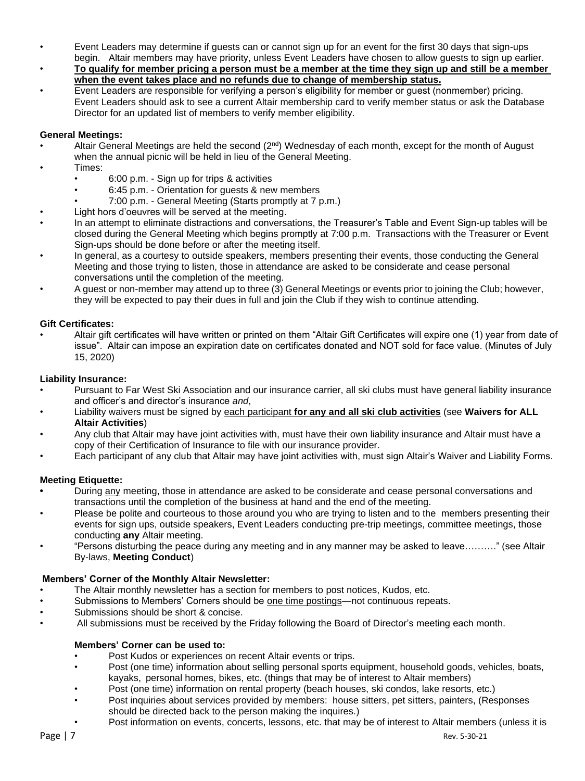- Event Leaders may determine if guests can or cannot sign up for an event for the first 30 days that sign-ups begin. Altair members may have priority, unless Event Leaders have chosen to allow guests to sign up earlier.
- **To qualify for member pricing a person must be a member at the time they sign up and still be a member when the event takes place and no refunds due to change of membership status.**
- Event Leaders are responsible for verifying a person's eligibility for member or guest (nonmember) pricing. Event Leaders should ask to see a current Altair membership card to verify member status or ask the Database Director for an updated list of members to verify member eligibility.

# **General Meetings:**

- Altair General Meetings are held the second  $(2<sup>nd</sup>)$  Wednesday of each month, except for the month of August when the annual picnic will be held in lieu of the General Meeting.
- Times:
	- 6:00 p.m. Sign up for trips & activities
	- 6:45 p.m. Orientation for guests & new members
	- 7:00 p.m. General Meeting (Starts promptly at 7 p.m.)
- Light hors d'oeuvres will be served at the meeting.
- In an attempt to eliminate distractions and conversations, the Treasurer's Table and Event Sign-up tables will be closed during the General Meeting which begins promptly at 7:00 p.m. Transactions with the Treasurer or Event Sign-ups should be done before or after the meeting itself.
- In general, as a courtesy to outside speakers, members presenting their events, those conducting the General Meeting and those trying to listen, those in attendance are asked to be considerate and cease personal conversations until the completion of the meeting.
- A guest or non-member may attend up to three (3) General Meetings or events prior to joining the Club; however, they will be expected to pay their dues in full and join the Club if they wish to continue attending.

## **Gift Certificates:**

• Altair gift certificates will have written or printed on them "Altair Gift Certificates will expire one (1) year from date of issue". Altair can impose an expiration date on certificates donated and NOT sold for face value. (Minutes of July 15, 2020)

#### **Liability Insurance:**

- Pursuant to Far West Ski Association and our insurance carrier, all ski clubs must have general liability insurance and officer's and director's insurance *and*,
- Liability waivers must be signed by each participant **for any and all ski club activities** (see **Waivers for ALL Altair Activities**)
- Any club that Altair may have joint activities with, must have their own liability insurance and Altair must have a copy of their Certification of Insurance to file with our insurance provider.
- Each participant of any club that Altair may have joint activities with, must sign Altair's Waiver and Liability Forms.

## **Meeting Etiquette:**

- **•** During any meeting, those in attendance are asked to be considerate and cease personal conversations and transactions until the completion of the business at hand and the end of the meeting.
- Please be polite and courteous to those around you who are trying to listen and to the members presenting their events for sign ups, outside speakers, Event Leaders conducting pre-trip meetings, committee meetings, those conducting **any** Altair meeting.
- "Persons disturbing the peace during any meeting and in any manner may be asked to leave………." (see Altair By-laws, **Meeting Conduct**)

## **Members' Corner of the Monthly Altair Newsletter:**

- The Altair monthly newsletter has a section for members to post notices, Kudos, etc.
- Submissions to Members' Corners should be one time postings—not continuous repeats.
- Submissions should be short & concise.
- All submissions must be received by the Friday following the Board of Director's meeting each month.

## **Members' Corner can be used to:**

- Post Kudos or experiences on recent Altair events or trips.
- Post (one time) information about selling personal sports equipment, household goods, vehicles, boats, kayaks, personal homes, bikes, etc. (things that may be of interest to Altair members)
- Post (one time) information on rental property (beach houses, ski condos, lake resorts, etc.)
- Post inquiries about services provided by members: house sitters, pet sitters, painters, (Responses should be directed back to the person making the inquires.)
- Post information on events, concerts, lessons, etc. that may be of interest to Altair members (unless it is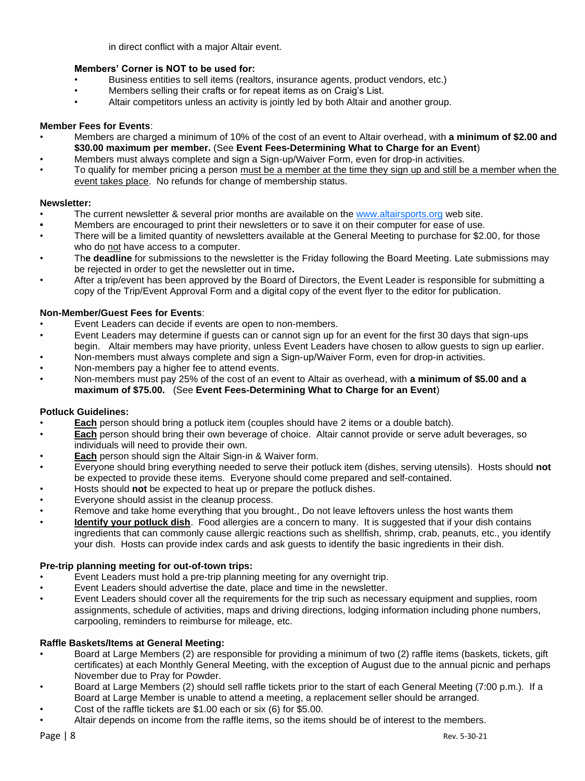in direct conflict with a major Altair event.

# **Members' Corner is NOT to be used for:**

- Business entities to sell items (realtors, insurance agents, product vendors, etc.)
- Members selling their crafts or for repeat items as on Craig's List.
- Altair competitors unless an activity is jointly led by both Altair and another group.

# **Member Fees for Events**:

- Members are charged a minimum of 10% of the cost of an event to Altair overhead, with **a minimum of \$2.00 and \$30.00 maximum per member.** (See **Event Fees-Determining What to Charge for an Event**)
- Members must always complete and sign a Sign-up/Waiver Form, even for drop-in activities.
- To qualify for member pricing a person must be a member at the time they sign up and still be a member when the event takes place. No refunds for change of membership status.

# **Newsletter:**

- The current newsletter & several prior months are available on the www.altairsports.org web site.
- **•** Members are encouraged to print their newsletters or to save it on their computer for ease of use.
- There will be a limited quantity of newsletters available at the General Meeting to purchase for \$2.00, for those who do not have access to a computer.
- Th**e deadline** for submissions to the newsletter is the Friday following the Board Meeting. Late submissions may be rejected in order to get the newsletter out in time**.**
- After a trip/event has been approved by the Board of Directors, the Event Leader is responsible for submitting a copy of the Trip/Event Approval Form and a digital copy of the event flyer to the editor for publication.

# **Non-Member/Guest Fees for Events**:

- Event Leaders can decide if events are open to non-members.
- Event Leaders may determine if guests can or cannot sign up for an event for the first 30 days that sign-ups begin. Altair members may have priority, unless Event Leaders have chosen to allow guests to sign up earlier.
- Non-members must always complete and sign a Sign-up/Waiver Form, even for drop-in activities.
- Non-members pay a higher fee to attend events.
- Non-members must pay 25% of the cost of an event to Altair as overhead, with **a minimum of \$5.00 and a maximum of \$75.00.** (See **Event Fees-Determining What to Charge for an Event**)

## **Potluck Guidelines:**

- **Each** person should bring a potluck item (couples should have 2 items or a double batch).
- **Each** person should bring their own beverage of choice. Altair cannot provide or serve adult beverages, so individuals will need to provide their own.
- **Each** person should sign the Altair Sign-in & Waiver form.
- Everyone should bring everything needed to serve their potluck item (dishes, serving utensils). Hosts should **not**  be expected to provide these items. Everyone should come prepared and self-contained.
- Hosts should **not** be expected to heat up or prepare the potluck dishes.
- Everyone should assist in the cleanup process.
- Remove and take home everything that you brought., Do not leave leftovers unless the host wants them
- **Identify your potluck dish**. Food allergies are a concern to many. It is suggested that if your dish contains ingredients that can commonly cause allergic reactions such as shellfish, shrimp, crab, peanuts, etc., you identify your dish. Hosts can provide index cards and ask guests to identify the basic ingredients in their dish.

## **Pre-trip planning meeting for out-of-town trips:**

- Event Leaders must hold a pre-trip planning meeting for any overnight trip.
- Event Leaders should advertise the date, place and time in the newsletter.
- Event Leaders should cover all the requirements for the trip such as necessary equipment and supplies, room assignments, schedule of activities, maps and driving directions, lodging information including phone numbers, carpooling, reminders to reimburse for mileage, etc.

# **Raffle Baskets/Items at General Meeting:**

- Board at Large Members (2) are responsible for providing a minimum of two (2) raffle items (baskets, tickets, gift certificates) at each Monthly General Meeting, with the exception of August due to the annual picnic and perhaps November due to Pray for Powder.
- Board at Large Members (2) should sell raffle tickets prior to the start of each General Meeting (7:00 p.m.). If a Board at Large Member is unable to attend a meeting, a replacement seller should be arranged.
- Cost of the raffle tickets are \$1.00 each or six (6) for \$5.00.
- Altair depends on income from the raffle items, so the items should be of interest to the members.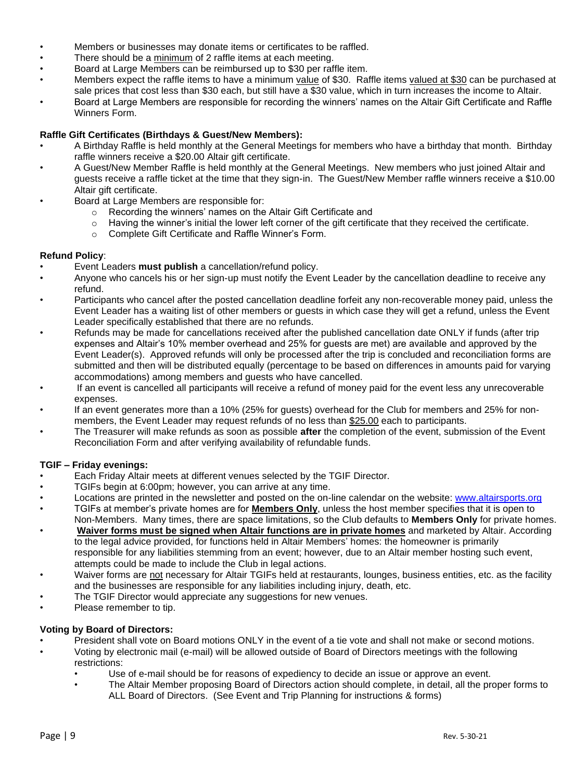- Members or businesses may donate items or certificates to be raffled.
- There should be a minimum of 2 raffle items at each meeting.
- Board at Large Members can be reimbursed up to \$30 per raffle item.
- Members expect the raffle items to have a minimum value of \$30. Raffle items valued at \$30 can be purchased at sale prices that cost less than \$30 each, but still have a \$30 value, which in turn increases the income to Altair.
- Board at Large Members are responsible for recording the winners' names on the Altair Gift Certificate and Raffle Winners Form.

# **Raffle Gift Certificates (Birthdays & Guest/New Members):**

- A Birthday Raffle is held monthly at the General Meetings for members who have a birthday that month. Birthday raffle winners receive a \$20.00 Altair gift certificate.
- A Guest/New Member Raffle is held monthly at the General Meetings. New members who just joined Altair and guests receive a raffle ticket at the time that they sign-in. The Guest/New Member raffle winners receive a \$10.00 Altair gift certificate.
- Board at Large Members are responsible for:
	- o Recording the winners' names on the Altair Gift Certificate and
	- o Having the winner's initial the lower left corner of the gift certificate that they received the certificate.
	- o Complete Gift Certificate and Raffle Winner's Form.

## **Refund Policy**:

- Event Leaders **must publish** a cancellation/refund policy.
- Anyone who cancels his or her sign-up must notify the Event Leader by the cancellation deadline to receive any refund.
- Participants who cancel after the posted cancellation deadline forfeit any non-recoverable money paid, unless the Event Leader has a waiting list of other members or guests in which case they will get a refund, unless the Event Leader specifically established that there are no refunds.
- Refunds may be made for cancellations received after the published cancellation date ONLY if funds (after trip expenses and Altair's 10% member overhead and 25% for guests are met) are available and approved by the Event Leader(s). Approved refunds will only be processed after the trip is concluded and reconciliation forms are submitted and then will be distributed equally (percentage to be based on differences in amounts paid for varying accommodations) among members and guests who have cancelled.
- If an event is cancelled all participants will receive a refund of money paid for the event less any unrecoverable expenses.
- If an event generates more than a 10% (25% for guests) overhead for the Club for members and 25% for nonmembers, the Event Leader may request refunds of no less than \$25.00 each to participants.
- The Treasurer will make refunds as soon as possible **after** the completion of the event, submission of the Event Reconciliation Form and after verifying availability of refundable funds.

## **TGIF – Friday evenings:**

- Each Friday Altair meets at different venues selected by the TGIF Director.
- TGIFs begin at 6:00pm; however, you can arrive at any time.
- Locations are printed in the newsletter and posted on the on-line calendar on the website: [www.altairsports.org](http://www.altairsports.org/)
- TGIFs at member's private homes are for **Members Only**, unless the host member specifies that it is open to Non-Members. Many times, there are space limitations, so the Club defaults to **Members Only** for private homes.
- **Waiver forms must be signed when Altair functions are in private homes** and marketed by Altair. According to the legal advice provided, for functions held in Altair Members' homes: the homeowner is primarily responsible for any liabilities stemming from an event; however, due to an Altair member hosting such event, attempts could be made to include the Club in legal actions.
- Waiver forms are not necessary for Altair TGIFs held at restaurants, lounges, business entities, etc. as the facility and the businesses are responsible for any liabilities including injury, death, etc.
- The TGIF Director would appreciate any suggestions for new venues.
- Please remember to tip.

## **Voting by Board of Directors:**

- President shall vote on Board motions ONLY in the event of a tie vote and shall not make or second motions.
- Voting by electronic mail (e-mail) will be allowed outside of Board of Directors meetings with the following restrictions:
	- Use of e-mail should be for reasons of expediency to decide an issue or approve an event.
	- The Altair Member proposing Board of Directors action should complete, in detail, all the proper forms to ALL Board of Directors. (See Event and Trip Planning for instructions & forms)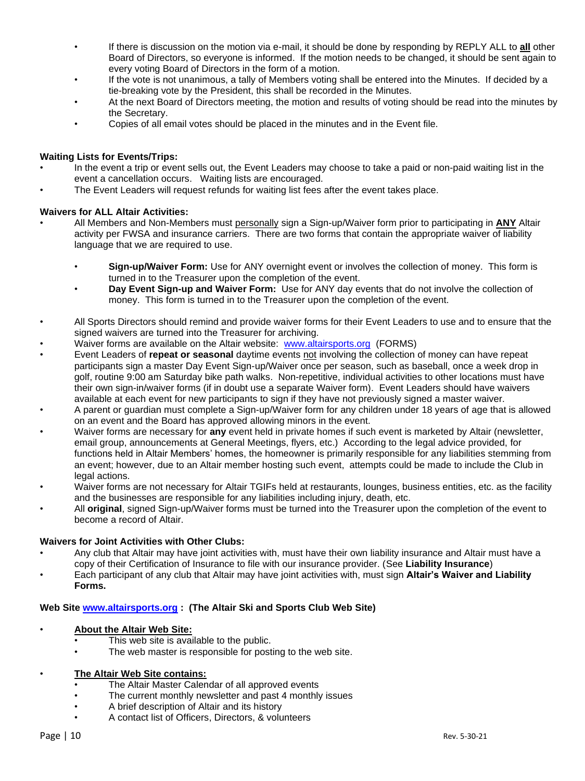- If there is discussion on the motion via e-mail, it should be done by responding by REPLY ALL to **all** other Board of Directors, so everyone is informed. If the motion needs to be changed, it should be sent again to every voting Board of Directors in the form of a motion.
- If the vote is not unanimous, a tally of Members voting shall be entered into the Minutes. If decided by a tie-breaking vote by the President, this shall be recorded in the Minutes.
- At the next Board of Directors meeting, the motion and results of voting should be read into the minutes by the Secretary.
- Copies of all email votes should be placed in the minutes and in the Event file.

# **Waiting Lists for Events/Trips:**

- In the event a trip or event sells out, the Event Leaders may choose to take a paid or non-paid waiting list in the event a cancellation occurs. Waiting lists are encouraged.
- The Event Leaders will request refunds for waiting list fees after the event takes place.

# **Waivers for ALL Altair Activities:**

- All Members and Non-Members must personally sign a Sign-up/Waiver form prior to participating in **ANY** Altair activity per FWSA and insurance carriers. There are two forms that contain the appropriate waiver of liability language that we are required to use.
	- **Sign-up/Waiver Form:** Use for ANY overnight event or involves the collection of money. This form is turned in to the Treasurer upon the completion of the event.
	- **Day Event Sign-up and Waiver Form:** Use for ANY day events that do not involve the collection of money. This form is turned in to the Treasurer upon the completion of the event.
- All Sports Directors should remind and provide waiver forms for their Event Leaders to use and to ensure that the signed waivers are turned into the Treasurer for archiving.
- Waiver forms are available on the Altair website: [www.altairsports.org](http://www.altairsports.org/) (FORMS)
- Event Leaders of **repeat or seasonal** daytime events not involving the collection of money can have repeat participants sign a master Day Event Sign-up/Waiver once per season, such as baseball, once a week drop in golf, routine 9:00 am Saturday bike path walks. Non-repetitive, individual activities to other locations must have their own sign-in/waiver forms (if in doubt use a separate Waiver form). Event Leaders should have waivers available at each event for new participants to sign if they have not previously signed a master waiver.
- A parent or guardian must complete a Sign-up/Waiver form for any children under 18 years of age that is allowed on an event and the Board has approved allowing minors in the event.
- Waiver forms are necessary for **any** event held in private homes if such event is marketed by Altair (newsletter, email group, announcements at General Meetings, flyers, etc.) According to the legal advice provided, for functions held in Altair Members' homes, the homeowner is primarily responsible for any liabilities stemming from an event; however, due to an Altair member hosting such event, attempts could be made to include the Club in legal actions.
- Waiver forms are not necessary for Altair TGIFs held at restaurants, lounges, business entities, etc. as the facility and the businesses are responsible for any liabilities including injury, death, etc.
- All **original**, signed Sign-up/Waiver forms must be turned into the Treasurer upon the completion of the event to become a record of Altair.

## **Waivers for Joint Activities with Other Clubs:**

- Any club that Altair may have joint activities with, must have their own liability insurance and Altair must have a copy of their Certification of Insurance to file with our insurance provider. (See **Liability Insurance**)
- Each participant of any club that Altair may have joint activities with, must sign **Altair's Waiver and Liability Forms.**

# **Web Site [www.altairsports.org](http://www.altairsports.org/) : (The Altair Ski and Sports Club Web Site)**

## • **About the Altair Web Site:**

- This web site is available to the public.
- The web master is responsible for posting to the web site.

## • **The Altair Web Site contains:**

- The Altair Master Calendar of all approved events
- The current monthly newsletter and past 4 monthly issues
- A brief description of Altair and its history
- A contact list of Officers, Directors, & volunteers